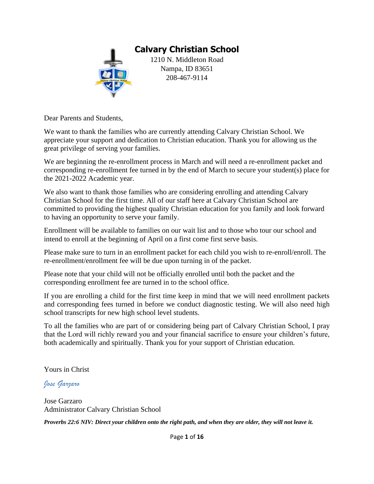

Dear Parents and Students,

We want to thank the families who are currently attending Calvary Christian School. We appreciate your support and dedication to Christian education. Thank you for allowing us the great privilege of serving your families.

We are beginning the re-enrollment process in March and will need a re-enrollment packet and corresponding re-enrollment fee turned in by the end of March to secure your student(s) place for the 2021-2022 Academic year.

We also want to thank those families who are considering enrolling and attending Calvary Christian School for the first time. All of our staff here at Calvary Christian School are committed to providing the highest quality Christian education for you family and look forward to having an opportunity to serve your family.

Enrollment will be available to families on our wait list and to those who tour our school and intend to enroll at the beginning of April on a first come first serve basis.

Please make sure to turn in an enrollment packet for each child you wish to re-enroll/enroll. The re-enrollment/enrollment fee will be due upon turning in of the packet.

Please note that your child will not be officially enrolled until both the packet and the corresponding enrollment fee are turned in to the school office.

If you are enrolling a child for the first time keep in mind that we will need enrollment packets and corresponding fees turned in before we conduct diagnostic testing. We will also need high school transcripts for new high school level students.

To all the families who are part of or considering being part of Calvary Christian School, I pray that the Lord will richly reward you and your financial sacrifice to ensure your children's future, both academically and spiritually. Thank you for your support of Christian education.

Yours in Christ

*Jose Garzaro*

Jose Garzaro Administrator Calvary Christian School *Proverbs 22:6 NIV: Direct your children onto the right path, and when they are older, they will not leave it.*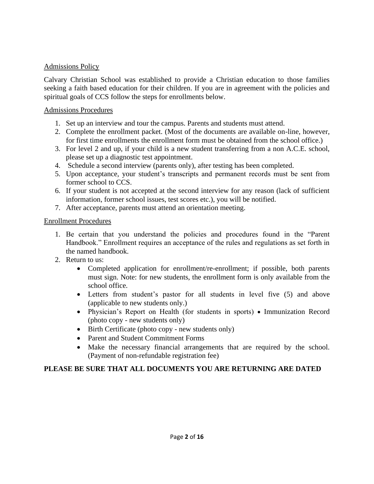#### Admissions Policy

Calvary Christian School was established to provide a Christian education to those families seeking a faith based education for their children. If you are in agreement with the policies and spiritual goals of CCS follow the steps for enrollments below.

#### Admissions Procedures

- 1. Set up an interview and tour the campus. Parents and students must attend.
- 2. Complete the enrollment packet. (Most of the documents are available on-line, however, for first time enrollments the enrollment form must be obtained from the school office.)
- 3. For level 2 and up, if your child is a new student transferring from a non A.C.E. school, please set up a diagnostic test appointment.
- 4. Schedule a second interview (parents only), after testing has been completed.
- 5. Upon acceptance, your student's transcripts and permanent records must be sent from former school to CCS.
- 6. If your student is not accepted at the second interview for any reason (lack of sufficient information, former school issues, test scores etc.), you will be notified.
- 7. After acceptance, parents must attend an orientation meeting.

#### Enrollment Procedures

- 1. Be certain that you understand the policies and procedures found in the "Parent Handbook." Enrollment requires an acceptance of the rules and regulations as set forth in the named handbook.
- 2. Return to us:
	- Completed application for enrollment/re-enrollment; if possible, both parents must sign. Note: for new students, the enrollment form is only available from the school office.
	- Letters from student's pastor for all students in level five (5) and above (applicable to new students only.)
	- Physician's Report on Health (for students in sports) Immunization Record (photo copy - new students only)
	- Birth Certificate (photo copy new students only)
	- Parent and Student Commitment Forms
	- Make the necessary financial arrangements that are required by the school. (Payment of non-refundable registration fee)

### **PLEASE BE SURE THAT ALL DOCUMENTS YOU ARE RETURNING ARE DATED**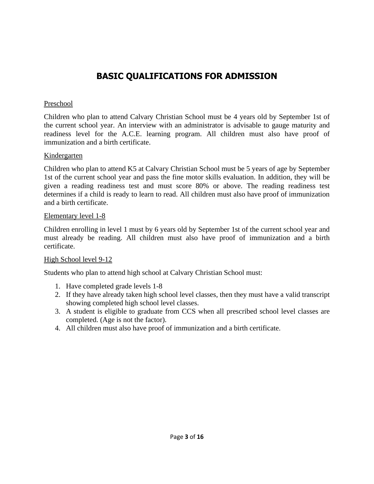## **BASIC QUALIFICATIONS FOR ADMISSION**

#### Preschool

Children who plan to attend Calvary Christian School must be 4 years old by September 1st of the current school year. An interview with an administrator is advisable to gauge maturity and readiness level for the A.C.E. learning program. All children must also have proof of immunization and a birth certificate.

#### **Kindergarten**

Children who plan to attend K5 at Calvary Christian School must be 5 years of age by September 1st of the current school year and pass the fine motor skills evaluation. In addition, they will be given a reading readiness test and must score 80% or above. The reading readiness test determines if a child is ready to learn to read. All children must also have proof of immunization and a birth certificate.

#### Elementary level 1-8

Children enrolling in level 1 must by 6 years old by September 1st of the current school year and must already be reading. All children must also have proof of immunization and a birth certificate.

### High School level 9-12

Students who plan to attend high school at Calvary Christian School must:

- 1. Have completed grade levels 1-8
- 2. If they have already taken high school level classes, then they must have a valid transcript showing completed high school level classes.
- 3. A student is eligible to graduate from CCS when all prescribed school level classes are completed. (Age is not the factor).
- 4. All children must also have proof of immunization and a birth certificate.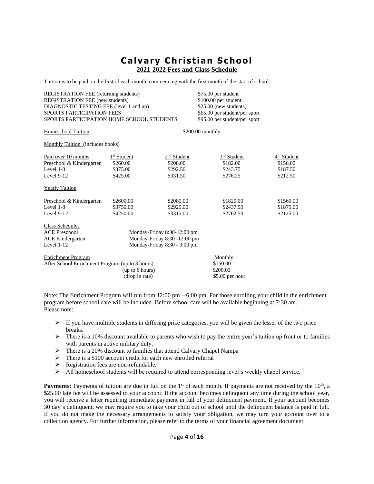**2021-2022 Fees and Class Schedule**

Tuition is to be paid on the first of each month, commencing with the first month of the start of school.

| REGISTRATION FEE (returning students)<br><b>REGISTRATION FEE</b> (new students) |                         |                              | \$75.00 per student<br>\$100.00 per student |                         |
|---------------------------------------------------------------------------------|-------------------------|------------------------------|---------------------------------------------|-------------------------|
| DIAGNOSTIC TESTING FEE (level 1 and up)                                         |                         |                              | \$25.00 (new students)                      |                         |
| SPORTS PARTICIPATION FEES                                                       |                         |                              | \$65.00 per student/per sport               |                         |
| SPORTS PARTICIPATION HOME SCHOOL STUDENTS                                       |                         |                              | \$95.00 per student/per sport               |                         |
| <b>Homeschool Tuition</b>                                                       |                         |                              | \$200.00 monthly                            |                         |
| <b>Monthly Tuition</b> (includes books)                                         |                         |                              |                                             |                         |
| Paid over 10 months                                                             | 1 <sup>st</sup> Student | 2 <sup>nd</sup> Student      | 3 <sup>rd</sup> Student                     | 4 <sup>th</sup> Student |
| Preschool & Kindergarten                                                        | \$260.00                | \$208.00                     | \$182.00                                    | \$156.00                |
| Level 1-8                                                                       | \$375.00                | \$292.50                     | \$243.75                                    | \$187.50                |
| Level $9-12$                                                                    | \$425.00                | \$331.50                     | \$276.25                                    | \$212.50                |
| <b>Yearly Tuition</b>                                                           |                         |                              |                                             |                         |
| Preschool & Kindergarten                                                        | \$2600.00               | \$2080.00                    | \$1820.00                                   | \$1560.00               |
| Level 1-8                                                                       | \$3750.00               | \$2925.00                    | \$2437.50                                   | \$1875.00               |
| Level $9-12$                                                                    | \$4250.00               | \$3315.00                    | \$2762.50                                   | \$2125.00               |
| <b>Class Schedules</b>                                                          |                         |                              |                                             |                         |
| <b>ACE Preschool</b>                                                            |                         | Monday-Friday 8:30-12:00 pm  |                                             |                         |
| <b>ACE Kindergarten</b>                                                         |                         | Monday-Friday 8:30 -12:00 pm |                                             |                         |
| Level $1-12$                                                                    |                         | Monday-Friday 8:30 - 3:00 pm |                                             |                         |
| <b>Enrichment Program</b>                                                       |                         |                              | Monthly                                     |                         |
| After School Enrichment Program (up to 3 hours)                                 |                         |                              | \$150.00                                    |                         |
|                                                                                 | (up to 6 hours)         |                              | \$200.00                                    |                         |
|                                                                                 | (drop in rate)          |                              | $$5.00$ per hour                            |                         |
|                                                                                 |                         |                              |                                             |                         |

Note: The Enrichment Program will run from 12:00 pm – 6:00 pm. For those enrolling your child in the enrichment program before school care will be included. Before school care will be available beginning at 7:30 am. Please note:

- $\triangleright$  If you have multiple students in differing price categories, you will be given the lesser of the two price breaks.
- $\triangleright$  There is a 10% discount available to parents who wish to pay the entire year's tuition up front or to families with parents in active military duty.
- ➢ There is a 20% discount to families that attend Calvary Chapel Nampa
- ➢ There is a \$100 account credit for each new enrolled referral
- ➢ Registration fees are non-refundable.
- ➢ All homeschool students will be required to attend corresponding level's weekly chapel service.

**Payments:** Payments of tuition are due in full on the  $1<sup>st</sup>$  of each month. If payments are not received by the  $10<sup>th</sup>$ , a \$25.00 late fee will be assessed to your account. If the account becomes delinquent any time during the school year, you will receive a letter requiring immediate payment in full of your delinquent payment. If your account becomes 30 day's delinquent, we may require you to take your child out of school until the delinquent balance is paid in full. If you do not make the necessary arrangements to satisfy your obligation, we may turn your account over to a collection agency. For further information, please refer to the terms of your financial agreement document.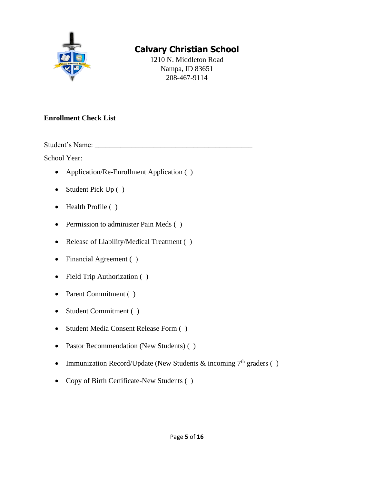

1210 N. Middleton Road Nampa, ID 83651 208-467-9114

### **Enrollment Check List**

Student's Name:

School Year: \_\_\_\_\_\_\_\_\_\_\_\_\_\_

- Application/Re-Enrollment Application ( )
- Student Pick Up ()
- Health Profile ()
- Permission to administer Pain Meds ()
- Release of Liability/Medical Treatment ( )
- Financial Agreement ()
- Field Trip Authorization ( )
- Parent Commitment ()
- Student Commitment ( )
- Student Media Consent Release Form ( )
- Pastor Recommendation (New Students) ( )
- Immunization Record/Update (New Students  $\&$  incoming  $7<sup>th</sup>$  graders ()
- Copy of Birth Certificate-New Students ( )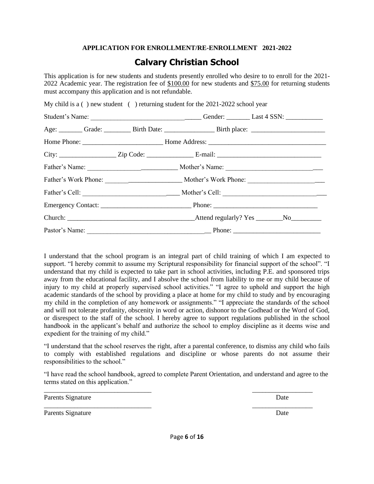#### **APPLICATION FOR ENROLLMENT/RE-ENROLLMENT 2021-2022**

### **Calvary Christian School**

This application is for new students and students presently enrolled who desire to to enroll for the 2021- 2022 Academic year. The registration fee of \$100.00 for new students and \$75.00 for returning students must accompany this application and is not refundable.

|  | My child is a $($ ) new student $($ ) returning student for the 2021-2022 school year |                                                                                                      |
|--|---------------------------------------------------------------------------------------|------------------------------------------------------------------------------------------------------|
|  |                                                                                       |                                                                                                      |
|  |                                                                                       | Age: ________ Grade: _________ Birth Date: ____________________ Birth place: _______________________ |
|  |                                                                                       |                                                                                                      |
|  |                                                                                       |                                                                                                      |
|  |                                                                                       |                                                                                                      |
|  |                                                                                       |                                                                                                      |
|  |                                                                                       |                                                                                                      |
|  |                                                                                       |                                                                                                      |
|  |                                                                                       |                                                                                                      |
|  |                                                                                       |                                                                                                      |

I understand that the school program is an integral part of child training of which I am expected to support. "I hereby commit to assume my Scriptural responsibility for financial support of the school". "I understand that my child is expected to take part in school activities, including P.E. and sponsored trips away from the educational facility, and I absolve the school from liability to me or my child because of injury to my child at properly supervised school activities." "I agree to uphold and support the high academic standards of the school by providing a place at home for my child to study and by encouraging my child in the completion of any homework or assignments." "I appreciate the standards of the school and will not tolerate profanity, obscenity in word or action, dishonor to the Godhead or the Word of God, or disrespect to the staff of the school. I hereby agree to support regulations published in the school handbook in the applicant's behalf and authorize the school to employ discipline as it deems wise and expedient for the training of my child."

"I understand that the school reserves the right, after a parental conference, to dismiss any child who fails to comply with established regulations and discipline or whose parents do not assume their responsibilities to the school."

"I have read the school handbook, agreed to complete Parent Orientation, and understand and agree to the terms stated on this application."

\_\_\_\_\_\_\_\_\_\_\_\_\_\_\_\_\_\_\_\_\_\_\_\_\_\_\_\_\_\_\_\_ \_\_\_\_\_\_\_\_\_\_\_\_\_\_\_\_\_\_

\_\_\_\_\_\_\_\_\_\_\_\_\_\_\_\_\_\_\_\_\_\_\_\_\_\_\_\_\_\_\_\_ \_\_\_\_\_\_\_\_\_\_\_\_\_\_\_\_\_\_

Parents Signature Date Date

Parents Signature Date by the United States of the United States of the United States of the United States of the United States of the United States of the United States of the United States of the United States of the Uni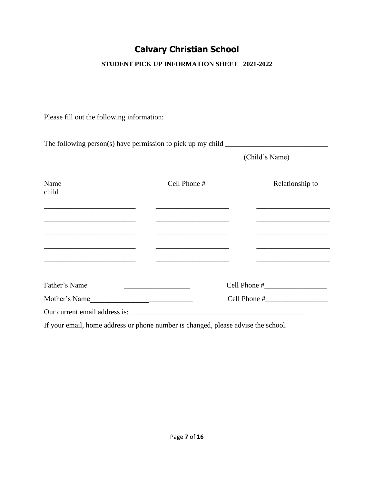### **STUDENT PICK UP INFORMATION SHEET 2021-2022**

Please fill out the following information:

|                                                                                           | The following person(s) have permission to pick up my child $\frac{1}{\sqrt{1-\frac{1}{\sqrt{1-\frac{1}{\sqrt{1-\frac{1}{\sqrt{1-\frac{1}{\sqrt{1-\frac{1}{\sqrt{1-\frac{1}{\sqrt{1-\frac{1}{\sqrt{1-\frac{1}{\sqrt{1-\frac{1}{\sqrt{1-\frac{1}{\sqrt{1-\frac{1}{\sqrt{1-\frac{1}{\sqrt{1-\frac{1}{\sqrt{1-\frac{1}{\sqrt{1-\frac{1}{\sqrt{1-\frac{1}{\sqrt{1-\frac{1}{\sqrt$ |                                                                            |
|-------------------------------------------------------------------------------------------|-------------------------------------------------------------------------------------------------------------------------------------------------------------------------------------------------------------------------------------------------------------------------------------------------------------------------------------------------------------------------------|----------------------------------------------------------------------------|
|                                                                                           |                                                                                                                                                                                                                                                                                                                                                                               | (Child's Name)                                                             |
| Name<br>child                                                                             | Cell Phone #                                                                                                                                                                                                                                                                                                                                                                  | Relationship to                                                            |
| the control of the control of the control of the control of the control of the control of | the control of the control of the control of the control of the control of the control of                                                                                                                                                                                                                                                                                     |                                                                            |
|                                                                                           |                                                                                                                                                                                                                                                                                                                                                                               | the control of the control of the control of the control of the control of |
| <u> 1980 - Jan Alexandro Standard Barbara, manala</u>                                     |                                                                                                                                                                                                                                                                                                                                                                               | the control of the control of the control of the control of the control of |
|                                                                                           |                                                                                                                                                                                                                                                                                                                                                                               |                                                                            |
| Father's Name                                                                             |                                                                                                                                                                                                                                                                                                                                                                               |                                                                            |
| Mother's Name                                                                             |                                                                                                                                                                                                                                                                                                                                                                               |                                                                            |
|                                                                                           |                                                                                                                                                                                                                                                                                                                                                                               |                                                                            |
|                                                                                           |                                                                                                                                                                                                                                                                                                                                                                               |                                                                            |

If your email, home address or phone number is changed, please advise the school.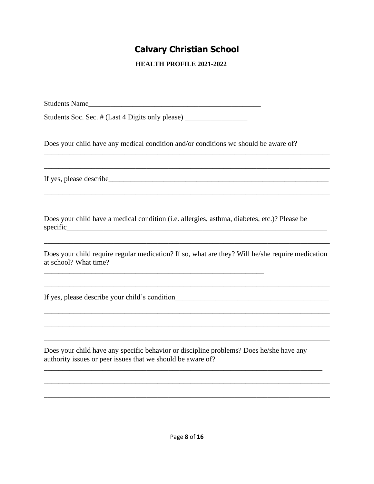**HEALTH PROFILE 2021-2022** 

Students Name\_\_\_\_\_\_\_\_\_\_\_\_\_\_\_\_\_\_\_\_\_\_\_\_\_\_\_\_\_\_\_\_\_\_\_\_\_\_\_\_\_\_\_\_\_\_\_

Students Soc. Sec. # (Last 4 Digits only please) \_\_\_\_\_\_\_\_\_\_\_\_\_\_\_\_\_\_\_\_\_\_\_\_\_\_\_\_\_\_\_

Does your child have any medical condition and/or conditions we should be aware of?

\_\_\_\_\_\_\_\_\_\_\_\_\_\_\_\_\_\_\_\_\_\_\_\_\_\_\_\_\_\_\_\_\_\_\_\_\_\_\_\_\_\_\_\_\_\_\_\_\_\_\_\_\_\_\_\_\_\_\_\_\_\_\_\_\_\_\_\_\_\_\_\_\_\_\_\_\_\_

\_\_\_\_\_\_\_\_\_\_\_\_\_\_\_\_\_\_\_\_\_\_\_\_\_\_\_\_\_\_\_\_\_\_\_\_\_\_\_\_\_\_\_\_\_\_\_\_\_\_\_\_\_\_\_\_\_\_\_\_\_\_\_\_\_\_\_\_\_\_\_\_\_\_\_\_\_\_

\_\_\_\_\_\_\_\_\_\_\_\_\_\_\_\_\_\_\_\_\_\_\_\_\_\_\_\_\_\_\_\_\_\_\_\_\_\_\_\_\_\_\_\_\_\_\_\_\_\_\_\_\_\_\_\_\_\_\_\_\_\_\_\_\_\_\_\_\_\_\_\_\_\_\_\_\_\_

If yes, please describe\_\_\_\_\_\_\_\_\_\_\_\_\_\_\_\_\_\_\_\_\_\_\_\_\_\_\_\_\_\_\_\_\_\_\_\_\_\_\_\_\_\_\_\_\_\_\_\_\_\_\_\_\_\_\_\_\_\_\_\_

Does your child have a medical condition (i.e. allergies, asthma, diabetes, etc.)? Please be specific\_\_\_\_\_\_\_\_\_\_\_\_\_\_\_\_\_\_\_\_\_\_\_\_\_\_\_\_\_\_\_\_\_\_\_\_\_\_\_\_\_\_\_\_\_\_\_\_\_\_\_\_\_\_\_\_\_\_\_\_\_\_\_\_\_\_\_\_\_\_\_

\_\_\_\_\_\_\_\_\_\_\_\_\_\_\_\_\_\_\_\_\_\_\_\_\_\_\_\_\_\_\_\_\_\_\_\_\_\_\_\_\_\_\_\_\_\_\_\_\_\_\_\_\_\_\_\_\_\_\_\_

Does your child require regular medication? If so, what are they? Will he/she require medication at school? What time?

\_\_\_\_\_\_\_\_\_\_\_\_\_\_\_\_\_\_\_\_\_\_\_\_\_\_\_\_\_\_\_\_\_\_\_\_\_\_\_\_\_\_\_\_\_\_\_\_\_\_\_\_\_\_\_\_\_\_\_\_\_\_\_\_\_\_\_\_\_\_\_\_\_\_\_\_\_\_

\_\_\_\_\_\_\_\_\_\_\_\_\_\_\_\_\_\_\_\_\_\_\_\_\_\_\_\_\_\_\_\_\_\_\_\_\_\_\_\_\_\_\_\_\_\_\_\_\_\_\_\_\_\_\_\_\_\_\_\_\_\_\_\_\_\_\_\_\_\_\_\_\_\_\_\_\_\_

\_\_\_\_\_\_\_\_\_\_\_\_\_\_\_\_\_\_\_\_\_\_\_\_\_\_\_\_\_\_\_\_\_\_\_\_\_\_\_\_\_\_\_\_\_\_\_\_\_\_\_\_\_\_\_\_\_\_\_\_\_\_\_\_\_\_\_\_\_\_\_\_\_\_\_\_\_\_

\_\_\_\_\_\_\_\_\_\_\_\_\_\_\_\_\_\_\_\_\_\_\_\_\_\_\_\_\_\_\_\_\_\_\_\_\_\_\_\_\_\_\_\_\_\_\_\_\_\_\_\_\_\_\_\_\_\_\_\_\_\_\_\_\_\_\_\_\_\_\_\_\_\_\_\_

\_\_\_\_\_\_\_\_\_\_\_\_\_\_\_\_\_\_\_\_\_\_\_\_\_\_\_\_\_\_\_\_\_\_\_\_\_\_\_\_\_\_\_\_\_\_\_\_\_\_\_\_\_\_\_\_\_\_\_\_\_\_\_\_\_\_\_\_\_\_\_\_\_\_\_\_\_\_

\_\_\_\_\_\_\_\_\_\_\_\_\_\_\_\_\_\_\_\_\_\_\_\_\_\_\_\_\_\_\_\_\_\_\_\_\_\_\_\_\_\_\_\_\_\_\_\_\_\_\_\_\_\_\_\_\_\_\_\_\_\_\_\_\_\_\_\_\_\_\_\_\_\_\_\_\_\_

\_\_\_\_\_\_\_\_\_\_\_\_\_\_\_\_\_\_\_\_\_\_\_\_\_\_\_\_\_\_\_\_\_\_\_\_\_\_\_\_\_\_\_\_\_\_\_\_\_\_\_\_\_\_\_\_\_\_\_\_\_\_\_\_\_\_\_\_\_\_\_\_\_\_\_\_\_\_

If yes, please describe your child's condition\_\_\_\_\_\_\_\_\_\_\_\_\_\_\_\_\_\_\_\_\_\_\_\_\_\_\_\_\_\_\_\_\_\_\_\_\_\_\_\_\_\_

Does your child have any specific behavior or discipline problems? Does he/she have any authority issues or peer issues that we should be aware of?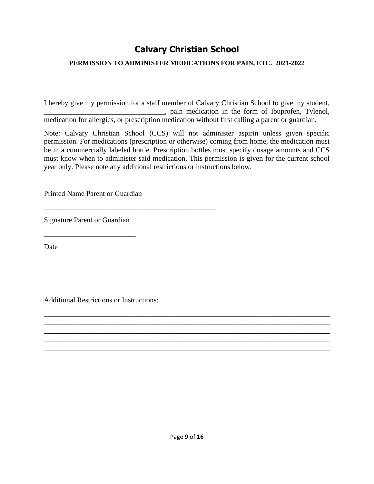#### **PERMISSION TO ADMINISTER MEDICATIONS FOR PAIN, ETC. 2021-2022**

I hereby give my permission for a staff member of Calvary Christian School to give my student, \_\_\_\_\_\_\_\_\_\_\_\_\_\_\_\_\_\_\_\_\_\_\_\_\_\_\_\_\_\_\_\_\_, pain medication in the form of Ibuprofen, Tylenol, medication for allergies, or prescription medication without first calling a parent or guardian.

Note: Calvary Christian School (CCS) will not administer aspirin unless given specific permission. For medications (prescription or otherwise) coming from home, the medication must be in a commercially labeled bottle. Prescription bottles must specify dosage amounts and CCS must know when to administer said medication. This permission is given for the current school year only. Please note any additional restrictions or instructions below.

Printed Name Parent or Guardian

\_\_\_\_\_\_\_\_\_\_\_\_\_\_\_\_\_\_\_\_\_\_\_\_\_\_\_\_\_\_\_\_\_\_\_\_\_\_\_\_\_\_\_\_\_\_\_

Signature Parent or Guardian

\_\_\_\_\_\_\_\_\_\_\_\_\_\_\_\_\_\_\_\_\_\_\_\_\_

\_\_\_\_\_\_\_\_\_\_\_\_\_\_\_\_\_\_

Date

Additional Restrictions or Instructions:

\_\_\_\_\_\_\_\_\_\_\_\_\_\_\_\_\_\_\_\_\_\_\_\_\_\_\_\_\_\_\_\_\_\_\_\_\_\_\_\_\_\_\_\_\_\_\_\_\_\_\_\_\_\_\_\_\_\_\_\_\_\_\_\_\_\_\_\_\_\_\_\_\_\_\_\_\_\_ \_\_\_\_\_\_\_\_\_\_\_\_\_\_\_\_\_\_\_\_\_\_\_\_\_\_\_\_\_\_\_\_\_\_\_\_\_\_\_\_\_\_\_\_\_\_\_\_\_\_\_\_\_\_\_\_\_\_\_\_\_\_\_\_\_\_\_\_\_\_\_\_\_\_\_\_\_\_ \_\_\_\_\_\_\_\_\_\_\_\_\_\_\_\_\_\_\_\_\_\_\_\_\_\_\_\_\_\_\_\_\_\_\_\_\_\_\_\_\_\_\_\_\_\_\_\_\_\_\_\_\_\_\_\_\_\_\_\_\_\_\_\_\_\_\_\_\_\_\_\_\_\_\_\_\_\_ \_\_\_\_\_\_\_\_\_\_\_\_\_\_\_\_\_\_\_\_\_\_\_\_\_\_\_\_\_\_\_\_\_\_\_\_\_\_\_\_\_\_\_\_\_\_\_\_\_\_\_\_\_\_\_\_\_\_\_\_\_\_\_\_\_\_\_\_\_\_\_\_\_\_\_\_\_\_ \_\_\_\_\_\_\_\_\_\_\_\_\_\_\_\_\_\_\_\_\_\_\_\_\_\_\_\_\_\_\_\_\_\_\_\_\_\_\_\_\_\_\_\_\_\_\_\_\_\_\_\_\_\_\_\_\_\_\_\_\_\_\_\_\_\_\_\_\_\_\_\_\_\_\_\_\_\_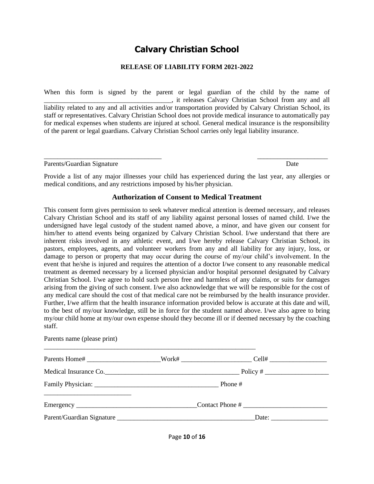#### **RELEASE OF LIABILITY FORM 2021-2022**

When this form is signed by the parent or legal guardian of the child by the name of \_\_\_\_\_\_\_\_\_\_\_\_\_\_\_\_\_\_\_\_\_\_\_\_\_\_\_\_\_\_\_\_\_\_\_\_\_\_, it releases Calvary Christian School from any and all liability related to any and all activities and/or transportation provided by Calvary Christian School, its staff or representatives. Calvary Christian School does not provide medical insurance to automatically pay for medical expenses when students are injured at school. General medical insurance is the responsibility of the parent or legal guardians. Calvary Christian School carries only legal liability insurance.

| Parents/Guardian Signature | Date |
|----------------------------|------|
|                            |      |

Provide a list of any major illnesses your child has experienced during the last year, any allergies or medical conditions, and any restrictions imposed by his/her physician.

\_\_\_\_\_\_\_\_\_\_\_\_\_\_\_\_\_\_\_\_\_\_\_\_\_\_\_\_\_\_\_\_\_\_\_ \_\_\_\_\_\_\_\_\_\_\_\_\_\_\_\_\_\_\_\_\_

#### **Authorization of Consent to Medical Treatment**

This consent form gives permission to seek whatever medical attention is deemed necessary, and releases Calvary Christian School and its staff of any liability against personal losses of named child. I/we the undersigned have legal custody of the student named above, a minor, and have given our consent for him/her to attend events being organized by Calvary Christian School. I/we understand that there are inherent risks involved in any athletic event, and I/we hereby release Calvary Christian School, its pastors, employees, agents, and volunteer workers from any and all liability for any injury, loss, or damage to person or property that may occur during the course of my/our child's involvement. In the event that he/she is injured and requires the attention of a doctor I/we consent to any reasonable medical treatment as deemed necessary by a licensed physician and/or hospital personnel designated by Calvary Christian School. I/we agree to hold such person free and harmless of any claims, or suits for damages arising from the giving of such consent. I/we also acknowledge that we will be responsible for the cost of any medical care should the cost of that medical care not be reimbursed by the health insurance provider. Further, I/we affirm that the health insurance information provided below is accurate at this date and will, to the best of my/our knowledge, still be in force for the student named above. I/we also agree to bring my/our child home at my/our own expense should they become ill or if deemed necessary by the coaching staff.

| Parents name (please print) |                                                                                                      |  |
|-----------------------------|------------------------------------------------------------------------------------------------------|--|
|                             | Parents Home# _________________________Work# ________________________Cell# _________________________ |  |
|                             | Medical Insurance Co.                                                                                |  |
|                             | Phone #                                                                                              |  |
|                             |                                                                                                      |  |
|                             |                                                                                                      |  |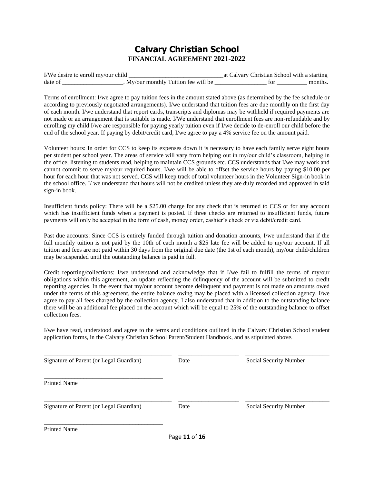#### **Calvary Christian School FINANCIAL AGREEMENT 2021-2022**

| I/We desire to enroll my/our child |                                    | Calvary Christian School with a starting |  |
|------------------------------------|------------------------------------|------------------------------------------|--|
| date o                             | My/our monthly Tuition fee will be |                                          |  |

Terms of enrollment: I/we agree to pay tuition fees in the amount stated above (as determined by the fee schedule or according to previously negotiated arrangements). I/we understand that tuition fees are due monthly on the first day of each month. I/we understand that report cards, transcripts and diplomas may be withheld if required payments are not made or an arrangement that is suitable is made. I/We understand that enrollment fees are non-refundable and by enrolling my child I/we are responsible for paying yearly tuition even if I/we decide to de-enroll our child before the end of the school year. If paying by debit/credit card, I/we agree to pay a 4% service fee on the amount paid.

Volunteer hours: In order for CCS to keep its expenses down it is necessary to have each family serve eight hours per student per school year. The areas of service will vary from helping out in my/our child's classroom, helping in the office, listening to students read, helping to maintain CCS grounds etc. CCS understands that I/we may work and cannot commit to serve my/our required hours. I/we will be able to offset the service hours by paying \$10.00 per hour for each hour that was not served. CCS will keep track of total volunteer hours in the Volunteer Sign-in book in the school office. I/ we understand that hours will not be credited unless they are duly recorded and approved in said sign-in book.

Insufficient funds policy: There will be a \$25.00 charge for any check that is returned to CCS or for any account which has insufficient funds when a payment is posted. If three checks are returned to insufficient funds, future payments will only be accepted in the form of cash, money order, cashier's check or via debit/credit card.

Past due accounts: Since CCS is entirely funded through tuition and donation amounts, I/we understand that if the full monthly tuition is not paid by the 10th of each month a \$25 late fee will be added to my/our account. If all tuition and fees are not paid within 30 days from the original due date (the 1st of each month), my/our child/children may be suspended until the outstanding balance is paid in full.

Credit reporting/collections: I/we understand and acknowledge that if I/we fail to fulfill the terms of my/our obligations within this agreement, an update reflecting the delinquency of the account will be submitted to credit reporting agencies. In the event that my/our account become delinquent and payment is not made on amounts owed under the terms of this agreement, the entire balance owing may be placed with a licensed collection agency. I/we agree to pay all fees charged by the collection agency. I also understand that in addition to the outstanding balance there will be an additional fee placed on the account which will be equal to 25% of the outstanding balance to offset collection fees.

I/we have read, understood and agree to the terms and conditions outlined in the Calvary Christian School student application forms, in the Calvary Christian School Parent/Student Handbook, and as stipulated above.

| Signature of Parent (or Legal Guardian) | Date | Social Security Number |
|-----------------------------------------|------|------------------------|
| <b>Printed Name</b>                     |      |                        |
| Signature of Parent (or Legal Guardian) | Date | Social Security Number |
| <b>Printed Name</b>                     |      |                        |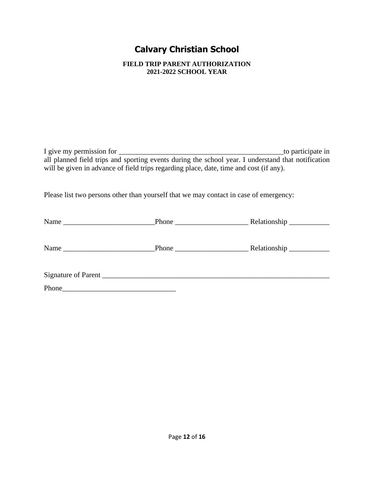**FIELD TRIP PARENT AUTHORIZATION 2021-2022 SCHOOL YEAR**

I give my permission for \_\_\_\_\_\_\_\_\_\_\_\_\_\_\_\_\_\_\_\_\_\_\_\_\_\_\_\_\_\_\_\_\_\_\_\_\_\_\_\_\_\_\_\_\_to participate in all planned field trips and sporting events during the school year. I understand that notification will be given in advance of field trips regarding place, date, time and cost (if any).

Please list two persons other than yourself that we may contact in case of emergency:

| Name                                                        |                     |  |
|-------------------------------------------------------------|---------------------|--|
|                                                             | Signature of Parent |  |
| Phone<br><u> 1989 - Johann John Stone, markin fizikar (</u> |                     |  |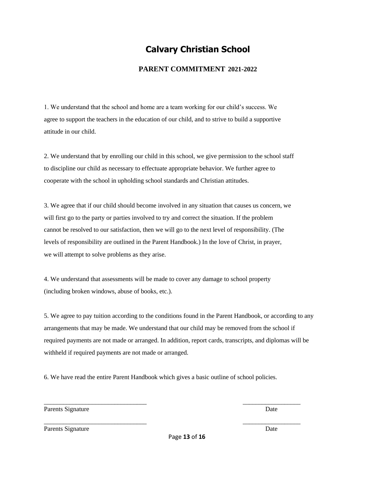#### **PARENT COMMITMENT 2021-2022**

1. We understand that the school and home are a team working for our child's success. We agree to support the teachers in the education of our child, and to strive to build a supportive attitude in our child.

2. We understand that by enrolling our child in this school, we give permission to the school staff to discipline our child as necessary to effectuate appropriate behavior. We further agree to cooperate with the school in upholding school standards and Christian attitudes.

3. We agree that if our child should become involved in any situation that causes us concern, we will first go to the party or parties involved to try and correct the situation. If the problem cannot be resolved to our satisfaction, then we will go to the next level of responsibility. (The levels of responsibility are outlined in the Parent Handbook.) In the love of Christ, in prayer, we will attempt to solve problems as they arise.

4. We understand that assessments will be made to cover any damage to school property (including broken windows, abuse of books, etc.).

5. We agree to pay tuition according to the conditions found in the Parent Handbook, or according to any arrangements that may be made. We understand that our child may be removed from the school if required payments are not made or arranged. In addition, report cards, transcripts, and diplomas will be withheld if required payments are not made or arranged.

6. We have read the entire Parent Handbook which gives a basic outline of school policies.

\_\_\_\_\_\_\_\_\_\_\_\_\_\_\_\_\_\_\_\_\_\_\_\_\_\_\_\_\_\_\_\_ \_\_\_\_\_\_\_\_\_\_\_\_\_\_\_\_\_\_

\_\_\_\_\_\_\_\_\_\_\_\_\_\_\_\_\_\_\_\_\_\_\_\_\_\_\_\_\_\_\_\_ \_\_\_\_\_\_\_\_\_\_\_\_\_\_\_\_\_\_

Parents Signature Date

Parents Signature Date Date of the Signature Date of the Date of the Date of the Date of the Date of the Date of the Date of the Date of the Date of the Date of the Date of the Date of the Date of the Date of the Date of t

Page **13** of **16**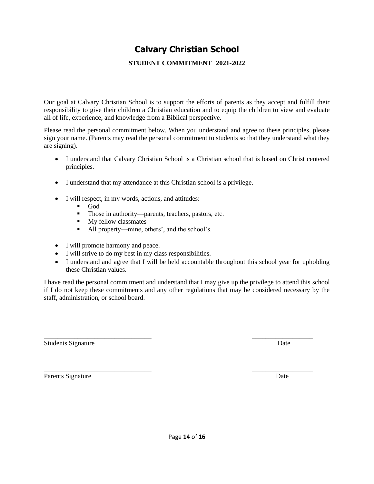#### **STUDENT COMMITMENT 2021-2022**

Our goal at Calvary Christian School is to support the efforts of parents as they accept and fulfill their responsibility to give their children a Christian education and to equip the children to view and evaluate all of life, experience, and knowledge from a Biblical perspective.

Please read the personal commitment below. When you understand and agree to these principles, please sign your name. (Parents may read the personal commitment to students so that they understand what they are signing).

- I understand that Calvary Christian School is a Christian school that is based on Christ centered principles.
- I understand that my attendance at this Christian school is a privilege.
- I will respect, in my words, actions, and attitudes:
	- God
	- Those in authority—parents, teachers, pastors, etc.
	- My fellow classmates
	- All property—mine, others', and the school's.
- I will promote harmony and peace.
- I will strive to do my best in my class responsibilities.
- I understand and agree that I will be held accountable throughout this school year for upholding these Christian values.

I have read the personal commitment and understand that I may give up the privilege to attend this school if I do not keep these commitments and any other regulations that may be considered necessary by the staff, administration, or school board.

\_\_\_\_\_\_\_\_\_\_\_\_\_\_\_\_\_\_\_\_\_\_\_\_\_\_\_\_\_\_\_\_ \_\_\_\_\_\_\_\_\_\_\_\_\_\_\_\_\_\_

\_\_\_\_\_\_\_\_\_\_\_\_\_\_\_\_\_\_\_\_\_\_\_\_\_\_\_\_\_\_\_\_ \_\_\_\_\_\_\_\_\_\_\_\_\_\_\_\_\_\_

Students Signature Date Date of the Students Signature Date Date Date Date of the Date Date Date of the United Students of the United Students of the United Students of the United Students of the United Students of the Uni

Parents Signature Date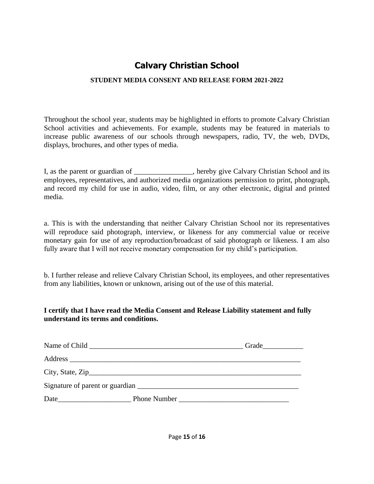#### **STUDENT MEDIA CONSENT AND RELEASE FORM 2021-2022**

Throughout the school year, students may be highlighted in efforts to promote Calvary Christian School activities and achievements. For example, students may be featured in materials to increase public awareness of our schools through newspapers, radio, TV, the web, DVDs, displays, brochures, and other types of media.

I, as the parent or guardian of \_\_\_\_\_\_\_\_\_\_\_\_\_\_\_\_, hereby give Calvary Christian School and its employees, representatives, and authorized media organizations permission to print, photograph, and record my child for use in audio, video, film, or any other electronic, digital and printed media.

a. This is with the understanding that neither Calvary Christian School nor its representatives will reproduce said photograph, interview, or likeness for any commercial value or receive monetary gain for use of any reproduction/broadcast of said photograph or likeness. I am also fully aware that I will not receive monetary compensation for my child's participation.

b. I further release and relieve Calvary Christian School, its employees, and other representatives from any liabilities, known or unknown, arising out of the use of this material.

#### **I certify that I have read the Media Consent and Release Liability statement and fully understand its terms and conditions.**

|      | City, State, $\overline{Zip}$ |  |
|------|-------------------------------|--|
|      |                               |  |
| Date | <b>Phone Number</b>           |  |